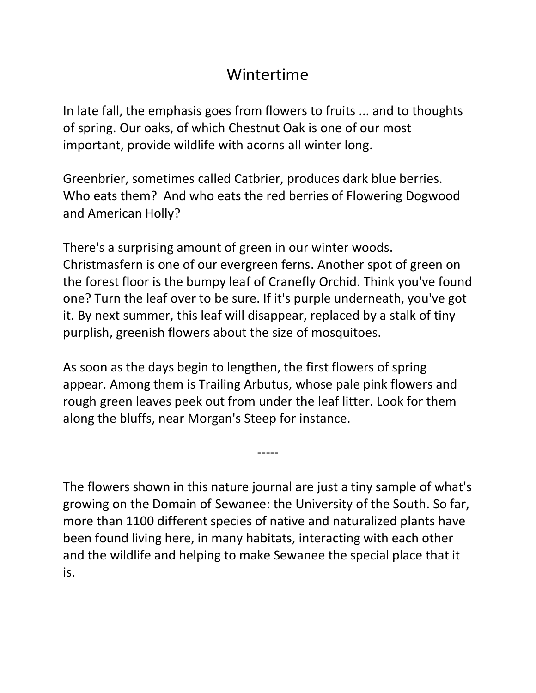### Wintertime

In late fall, the emphasis goes from flowers to fruits ... and to thoughts of spring. Our oaks, of which Chestnut Oak is one of our most important, provide wildlife with acorns all winter long.

Greenbrier, sometimes called Catbrier, produces dark blue berries. Who eats them? And who eats the red berries of Flowering Dogwood and American Holly?

There's a surprising amount of green in our winter woods. Christmasfern is one of our evergreen ferns. Another spot of green on the forest floor is the bumpy leaf of Cranefly Orchid. Think you've found one? Turn the leaf over to be sure. If it's purple underneath, you've got it. By next summer, this leaf will disappear, replaced by a stalk of tiny purplish, greenish flowers about the size of mosquitoes.

As soon as the days begin to lengthen, the first flowers of spring appear. Among them is Trailing Arbutus, whose pale pink flowers and rough green leaves peek out from under the leaf litter. Look for them along the bluffs, near Morgan's Steep for instance.

The flowers shown in this nature journal are just a tiny sample of what's growing on the Domain of Sewanee: the University of the South. So far, more than 1100 different species of native and naturalized plants have been found living here, in many habitats, interacting with each other and the wildlife and helping to make Sewanee the special place that it is.

-----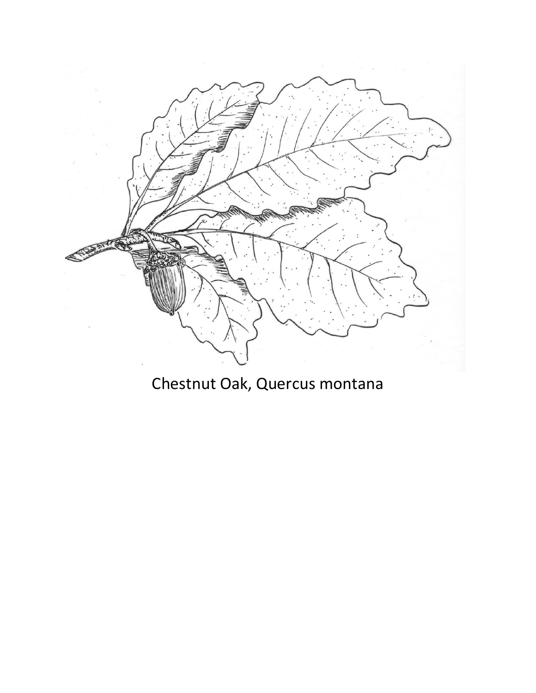

## Chestnut Oak, Quercus montana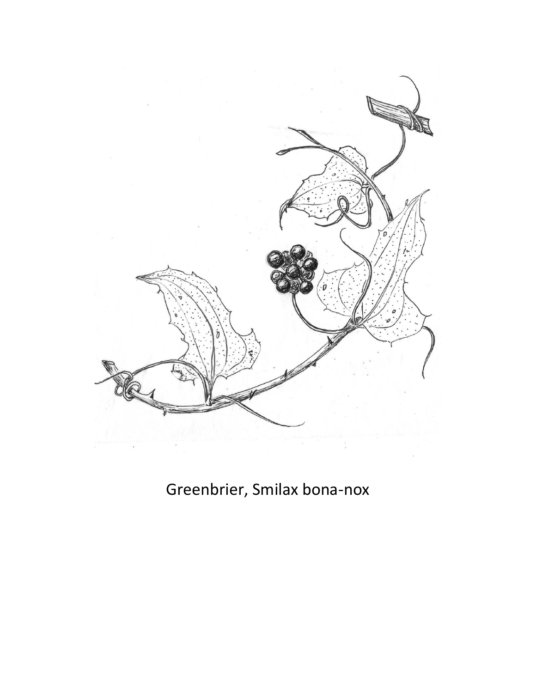

## Greenbrier, Smilax bona-nox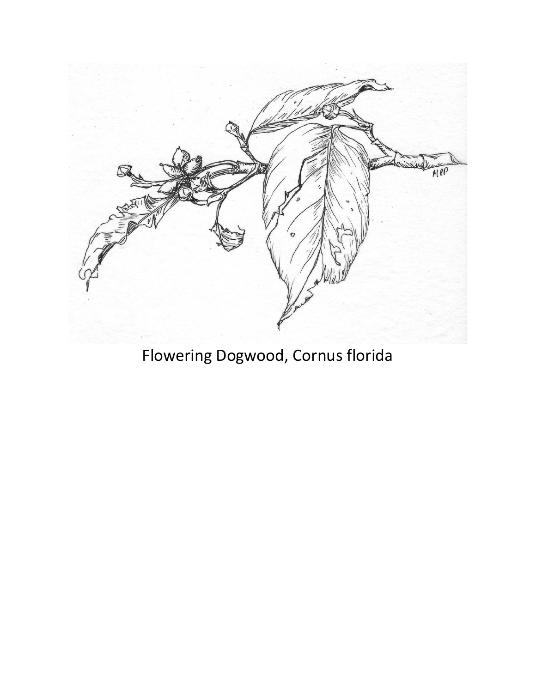

Flowering Dogwood, Cornus florida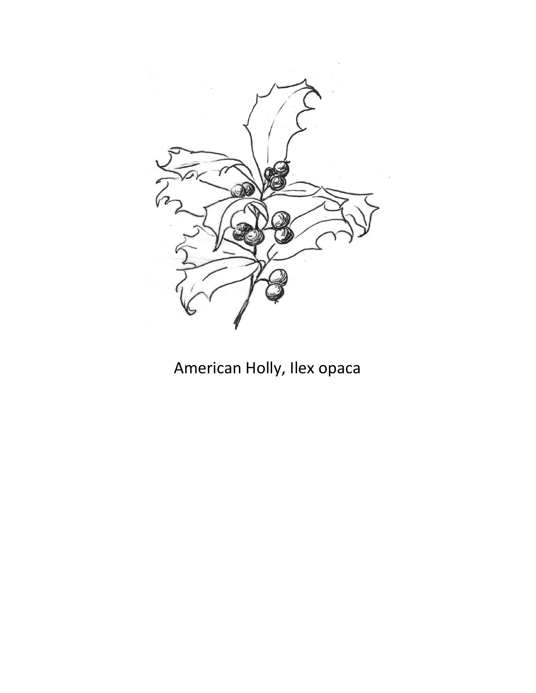

# American Holly, Ilex opaca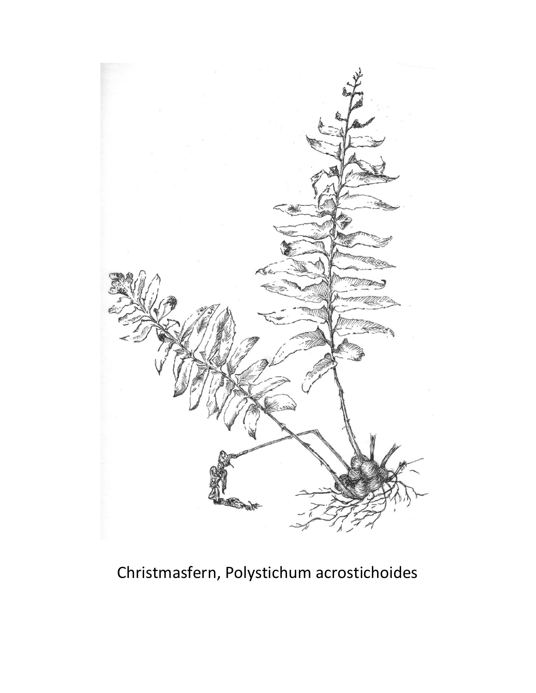

# Christmasfern, Polystichum acrostichoides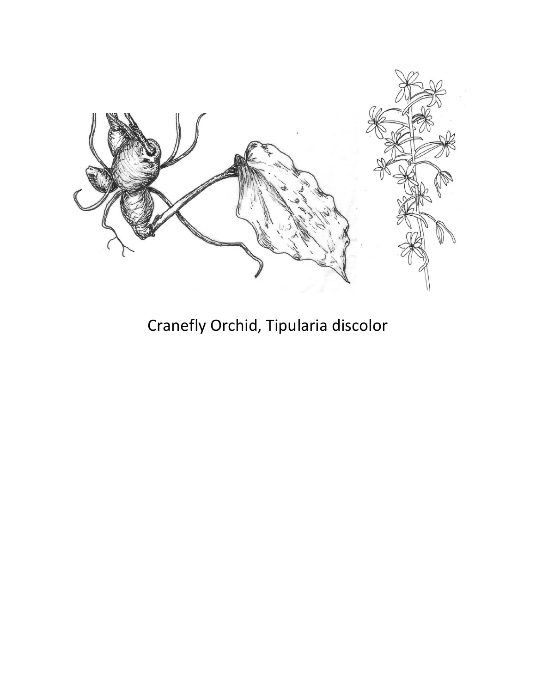

Cranefly Orchid, Tipularia discolor